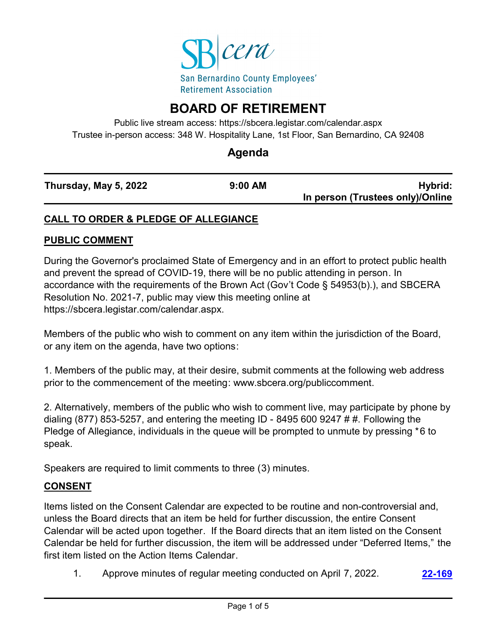

# **BOARD OF RETIREMENT**

Public live stream access: https://sbcera.legistar.com/calendar.aspx Trustee in-person access: 348 W. Hospitality Lane, 1st Floor, San Bernardino, CA 92408

# **Agenda**

| Thursday, May 5, 2022 | $9:00$ AM |
|-----------------------|-----------|
|                       |           |

**Hybrid: In person (Trustees only)/Online**

# **CALL TO ORDER & PLEDGE OF ALLEGIANCE**

#### **PUBLIC COMMENT**

During the Governor's proclaimed State of Emergency and in an effort to protect public health and prevent the spread of COVID-19, there will be no public attending in person. In accordance with the requirements of the Brown Act (Gov't Code § 54953(b).), and SBCERA Resolution No. 2021-7, public may view this meeting online at https://sbcera.legistar.com/calendar.aspx.

Members of the public who wish to comment on any item within the jurisdiction of the Board, or any item on the agenda, have two options:

1. Members of the public may, at their desire, submit comments at the following web address prior to the commencement of the meeting: www.sbcera.org/publiccomment.

2. Alternatively, members of the public who wish to comment live, may participate by phone by dialing (877) 853-5257, and entering the meeting ID - 8495 600 9247 # #. Following the Pledge of Allegiance, individuals in the queue will be prompted to unmute by pressing \*6 to speak.

Speakers are required to limit comments to three (3) minutes.

### **CONSENT**

Items listed on the Consent Calendar are expected to be routine and non-controversial and, unless the Board directs that an item be held for further discussion, the entire Consent Calendar will be acted upon together. If the Board directs that an item listed on the Consent Calendar be held for further discussion, the item will be addressed under "Deferred Items," the first item listed on the Action Items Calendar.

1. Approve minutes of regular meeting conducted on April 7, 2022. **[22-169](http://sbcera.legistar.com/gateway.aspx?m=l&id=/matter.aspx?key=4487)**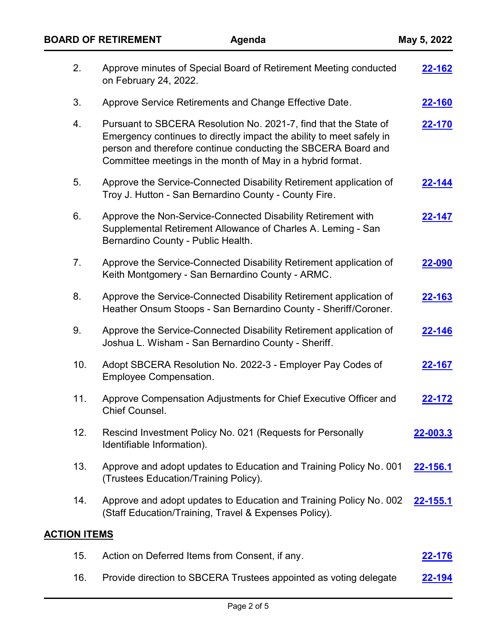|                     | 2.  | Approve minutes of Special Board of Retirement Meeting conducted<br>on February 24, 2022.                                                                                                                                                                               | <u>22-162</u>   |  |
|---------------------|-----|-------------------------------------------------------------------------------------------------------------------------------------------------------------------------------------------------------------------------------------------------------------------------|-----------------|--|
|                     | 3.  | Approve Service Retirements and Change Effective Date.                                                                                                                                                                                                                  | <b>22-160</b>   |  |
|                     | 4.  | Pursuant to SBCERA Resolution No. 2021-7, find that the State of<br>Emergency continues to directly impact the ability to meet safely in<br>person and therefore continue conducting the SBCERA Board and<br>Committee meetings in the month of May in a hybrid format. | 22-170          |  |
|                     | 5.  | Approve the Service-Connected Disability Retirement application of<br>Troy J. Hutton - San Bernardino County - County Fire.                                                                                                                                             | 22-144          |  |
|                     | 6.  | Approve the Non-Service-Connected Disability Retirement with<br>Supplemental Retirement Allowance of Charles A. Leming - San<br>Bernardino County - Public Health.                                                                                                      | 22-147          |  |
|                     | 7.  | Approve the Service-Connected Disability Retirement application of<br>Keith Montgomery - San Bernardino County - ARMC.                                                                                                                                                  | 22-090          |  |
|                     | 8.  | Approve the Service-Connected Disability Retirement application of<br>Heather Onsum Stoops - San Bernardino County - Sheriff/Coroner.                                                                                                                                   | 22-163          |  |
|                     | 9.  | Approve the Service-Connected Disability Retirement application of<br>Joshua L. Wisham - San Bernardino County - Sheriff.                                                                                                                                               | 22-146          |  |
|                     | 10. | Adopt SBCERA Resolution No. 2022-3 - Employer Pay Codes of<br><b>Employee Compensation.</b>                                                                                                                                                                             | 22-167          |  |
|                     | 11. | Approve Compensation Adjustments for Chief Executive Officer and<br>Chief Counsel.                                                                                                                                                                                      | 22-172          |  |
|                     | 12. | Rescind Investment Policy No. 021 (Requests for Personally<br>Identifiable Information).                                                                                                                                                                                | 22-003.3        |  |
|                     | 13. | Approve and adopt updates to Education and Training Policy No. 001<br>(Trustees Education/Training Policy).                                                                                                                                                             | <u>22-156.1</u> |  |
|                     | 14. | Approve and adopt updates to Education and Training Policy No. 002<br>(Staff Education/Training, Travel & Expenses Policy).                                                                                                                                             | <u>22-155.1</u> |  |
| <b>ACTION ITEMS</b> |     |                                                                                                                                                                                                                                                                         |                 |  |
|                     | 15. | Action on Deferred Items from Consent, if any.                                                                                                                                                                                                                          | <u>22-176</u>   |  |

16. Provide direction to SBCERA Trustees appointed as voting delegate **[22-194](http://sbcera.legistar.com/gateway.aspx?m=l&id=/matter.aspx?key=4510)**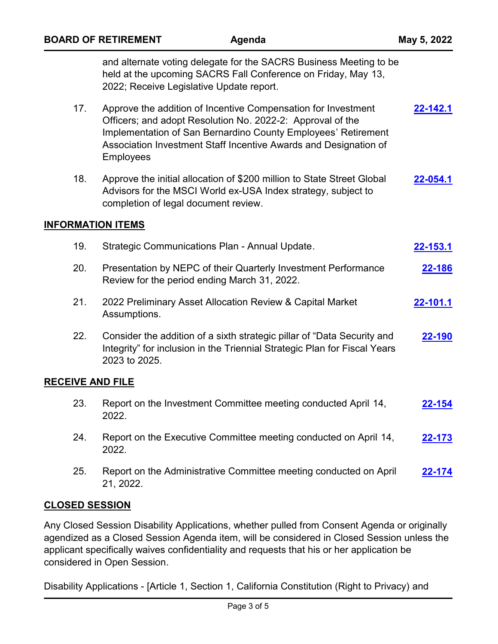|                          | <b>BOARD OF RETIREMENT</b><br>Agenda                                                                                                                                                                                                                                                 | May 5, 2022     |
|--------------------------|--------------------------------------------------------------------------------------------------------------------------------------------------------------------------------------------------------------------------------------------------------------------------------------|-----------------|
|                          | and alternate voting delegate for the SACRS Business Meeting to be<br>held at the upcoming SACRS Fall Conference on Friday, May 13,<br>2022; Receive Legislative Update report.                                                                                                      |                 |
| 17.                      | Approve the addition of Incentive Compensation for Investment<br>Officers; and adopt Resolution No. 2022-2: Approval of the<br>Implementation of San Bernardino County Employees' Retirement<br>Association Investment Staff Incentive Awards and Designation of<br><b>Employees</b> | $22 - 142.1$    |
| 18.                      | Approve the initial allocation of \$200 million to State Street Global<br>Advisors for the MSCI World ex-USA Index strategy, subject to<br>completion of legal document review.                                                                                                      | 22-054.1        |
| <b>INFORMATION ITEMS</b> |                                                                                                                                                                                                                                                                                      |                 |
| 19.                      | Strategic Communications Plan - Annual Update.                                                                                                                                                                                                                                       | <u>22-153.1</u> |
| 20.                      | Presentation by NEPC of their Quarterly Investment Performance<br>Review for the period ending March 31, 2022.                                                                                                                                                                       | 22-186          |
| 21.                      | 2022 Preliminary Asset Allocation Review & Capital Market<br>Assumptions.                                                                                                                                                                                                            | 22-101.1        |
| 22.                      | Consider the addition of a sixth strategic pillar of "Data Security and<br>Integrity" for inclusion in the Triennial Strategic Plan for Fiscal Years<br>2023 to 2025.                                                                                                                | 22-190          |
| <b>RECEIVE AND FILE</b>  |                                                                                                                                                                                                                                                                                      |                 |
| 23.                      | Report on the Investment Committee meeting conducted April 14,<br>2022.                                                                                                                                                                                                              | <u>22-154</u>   |
| 24.                      | Report on the Executive Committee meeting conducted on April 14,<br>2022.                                                                                                                                                                                                            | 22-173          |
| 25.                      | Report on the Administrative Committee meeting conducted on April<br>21, 2022.                                                                                                                                                                                                       | <u>22-174</u>   |

### **CLOSED SESSION**

Any Closed Session Disability Applications, whether pulled from Consent Agenda or originally agendized as a Closed Session Agenda item, will be considered in Closed Session unless the applicant specifically waives confidentiality and requests that his or her application be considered in Open Session.

Disability Applications - [Article 1, Section 1, California Constitution (Right to Privacy) and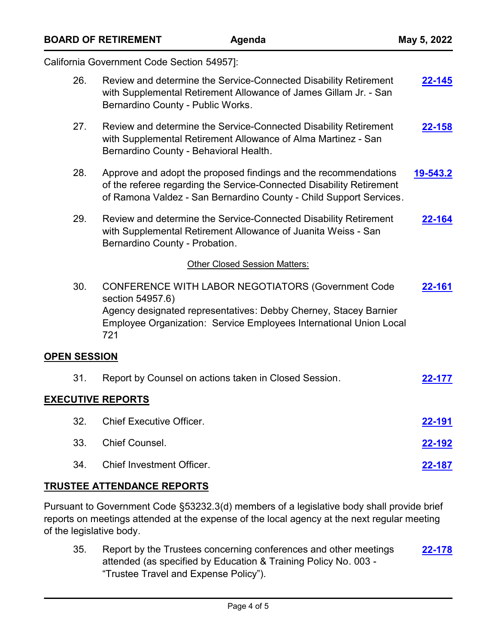| <b>BOARD OF RETIREMENT</b>                 |                          |                                                       | Agenda                                                                                                                                                                                                        | May 5, 2022   |  |
|--------------------------------------------|--------------------------|-------------------------------------------------------|---------------------------------------------------------------------------------------------------------------------------------------------------------------------------------------------------------------|---------------|--|
| California Government Code Section 54957]: |                          |                                                       |                                                                                                                                                                                                               |               |  |
|                                            | 26.                      | Bernardino County - Public Works.                     | Review and determine the Service-Connected Disability Retirement<br>with Supplemental Retirement Allowance of James Gillam Jr. - San                                                                          | $22 - 145$    |  |
|                                            | 27.                      | Bernardino County - Behavioral Health.                | Review and determine the Service-Connected Disability Retirement<br>with Supplemental Retirement Allowance of Alma Martinez - San                                                                             | $22 - 158$    |  |
|                                            | 28.                      |                                                       | Approve and adopt the proposed findings and the recommendations<br>of the referee regarding the Service-Connected Disability Retirement<br>of Ramona Valdez - San Bernardino County - Child Support Services. | 19-543.2      |  |
|                                            | 29.                      | Bernardino County - Probation.                        | Review and determine the Service-Connected Disability Retirement<br>with Supplemental Retirement Allowance of Juanita Weiss - San                                                                             | 22-164        |  |
|                                            |                          |                                                       | Other Closed Session Matters:                                                                                                                                                                                 |               |  |
|                                            | 30.<br>721               | section 54957.6)                                      | <b>CONFERENCE WITH LABOR NEGOTIATORS (Government Code</b><br>Agency designated representatives: Debby Cherney, Stacey Barnier<br>Employee Organization: Service Employees International Union Local           | 22-161        |  |
|                                            | <b>OPEN SESSION</b>      |                                                       |                                                                                                                                                                                                               |               |  |
|                                            | 31.                      | Report by Counsel on actions taken in Closed Session. |                                                                                                                                                                                                               | 22-177        |  |
|                                            | <b>EXECUTIVE REPORTS</b> |                                                       |                                                                                                                                                                                                               |               |  |
|                                            | 32.                      | <b>Chief Executive Officer.</b>                       |                                                                                                                                                                                                               | <u>22-191</u> |  |
|                                            | 33.                      | Chief Counsel.                                        |                                                                                                                                                                                                               | <u>22-192</u> |  |
|                                            | 34.                      | <b>Chief Investment Officer.</b>                      |                                                                                                                                                                                                               | <u>22-187</u> |  |

### **TRUSTEE ATTENDANCE REPORTS**

Pursuant to Government Code §53232.3(d) members of a legislative body shall provide brief reports on meetings attended at the expense of the local agency at the next regular meeting of the legislative body.

35. Report by the Trustees concerning conferences and other meetings attended (as specified by Education & Training Policy No. 003 - "Trustee Travel and Expense Policy"). **[22-178](http://sbcera.legistar.com/gateway.aspx?m=l&id=/matter.aspx?key=4495)**